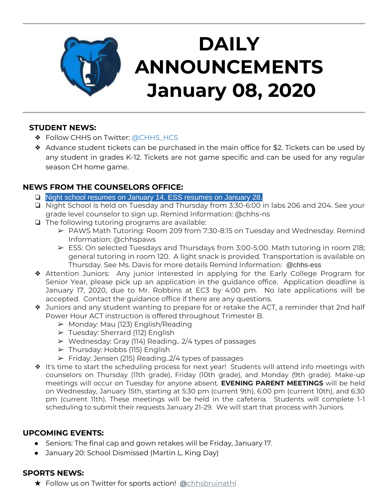

# **DAILY ANNOUNCEMENTS January 08, 2020**

## **STUDENT NEWS:**

- ❖ Follow CHHS on Twitter: [@CHHS\\_HCS](https://twitter.com/CHHS_HCS)
- ❖ Advance student tickets can be purchased in the main office for \$2. Tickets can be used by any student in grades K-12. Tickets are not game specific and can be used for any regular season CH home game.

#### **NEWS FROM THE COUNSELORS OFFICE:**

- ❏ Night school resumes on January 14. ESS resumes on January 28.
- ❏ Night School is held on Tuesday and Thursday from 3:30-6:00 in labs 206 and 204. See your grade level counselor to sign up. Remind Information: @chhs-ns
- ❏ The following tutoring programs are available:
	- ➢ PAWS Math Tutoring: Room 209 from 7:30-8:15 on Tuesday and Wednesday. Remind Information: @chhspaws
	- $\triangleright$  ESS: On selected Tuesdays and Thursdays from 3:00-5:00. Math tutoring in room 218; general tutoring in room 120. A light snack is provided. Transportation is available on Thursday. See Ms. Davis for more details Remind Information: @chhs-ess
- ❖ Attention Juniors: Any junior interested in applying for the Early College Program for Senior Year, please pick up an application in the guidance office. Application deadline is January 17, 2020, due to Mr. Robbins at EC3 by 4:00 pm. No late applications will be accepted. Contact the guidance office if there are any questions.
- ❖ Juniors and any student wanting to prepare for or retake the ACT, a reminder that 2nd half Power Hour ACT instruction is offered throughout Trimester B.
	- $\triangleright$  Monday: Mau (123) English/Reading
	- $\triangleright$  Tuesday: Sherrard (112) English
	- $\triangleright$  Wednesday: Gray (114) Reading.. 2/4 types of passages
	- $\triangleright$  Thursday: Hobbs (115) English
	- $\triangleright$  Friday: Jensen (215) Reading..2/4 types of passages
- ❖ It's time to start the scheduling process for next year! Students will attend info meetings with counselors on Thursday (11th grade), Friday (10th grade), and Monday (9th grade). Make-up meetings will occur on Tuesday for anyone absent. **EVENING PARENT MEETINGS** will be held on Wednesday, January 15th, starting at 5:30 pm (current 9th), 6:00 pm (current 10th), and 6:30 pm (current 11th). These meetings will be held in the cafeteria. Students will complete 1-1 scheduling to submit their requests January 21-29. We will start that process with Juniors.

## **UPCOMING EVENTS:**

- Seniors: The final cap and gown retakes will be Friday, January 17.
- January 20: School Dismissed (Martin L. King Day)

#### **SPORTS NEWS:**

★ Follow us on Twitter for sports action! **[@](https://twitter.com/chhsbruinathl)**[chhsbruinathl](https://twitter.com/chhsbruinathl)